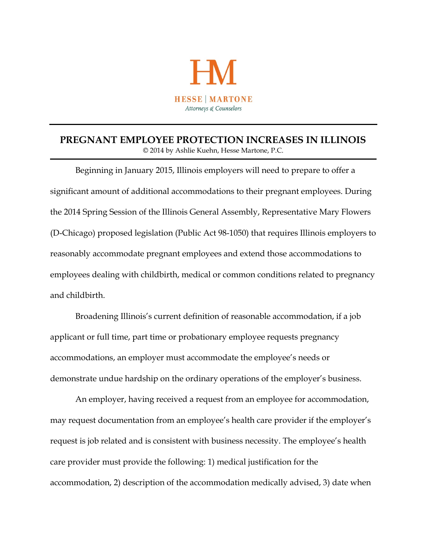

## **PREGNANT EMPLOYEE PROTECTION INCREASES IN ILLINOIS** © 2014 by Ashlie Kuehn, Hesse Martone, P.C.

Beginning in January 2015, Illinois employers will need to prepare to offer a significant amount of additional accommodations to their pregnant employees. During the 2014 Spring Session of the Illinois General Assembly, Representative Mary Flowers (D-Chicago) proposed legislation (Public Act 98-1050) that requires Illinois employers to reasonably accommodate pregnant employees and extend those accommodations to employees dealing with childbirth, medical or common conditions related to pregnancy and childbirth.

Broadening Illinois's current definition of reasonable accommodation, if a job applicant or full time, part time or probationary employee requests pregnancy accommodations, an employer must accommodate the employee's needs or demonstrate undue hardship on the ordinary operations of the employer's business.

An employer, having received a request from an employee for accommodation, may request documentation from an employee's health care provider if the employer's request is job related and is consistent with business necessity. The employee's health care provider must provide the following: 1) medical justification for the accommodation, 2) description of the accommodation medically advised, 3) date when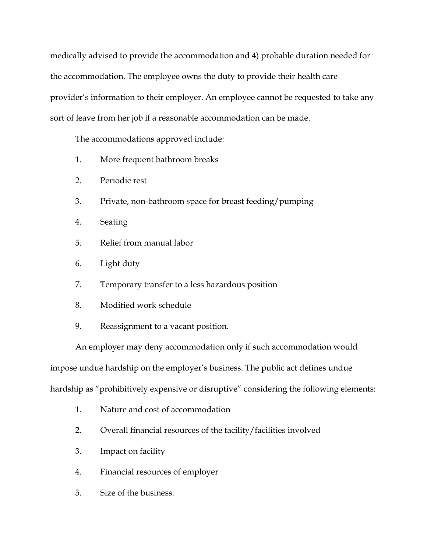medically advised to provide the accommodation and 4) probable duration needed for the accommodation. The employee owns the duty to provide their health care provider's information to their employer. An employee cannot be requested to take any sort of leave from her job if a reasonable accommodation can be made.

The accommodations approved include:

- 1. More frequent bathroom breaks
- 2. Periodic rest
- 3. Private, non-bathroom space for breast feeding/pumping
- 4. Seating
- 5. Relief from manual labor
- 6. Light duty
- 7. Temporary transfer to a less hazardous position
- 8. Modified work schedule
- 9. Reassignment to a vacant position.

An employer may deny accommodation only if such accommodation would impose undue hardship on the employer's business. The public act defines undue hardship as "prohibitively expensive or disruptive" considering the following elements:

- 1. Nature and cost of accommodation
- 2. Overall financial resources of the facility/facilities involved
- 3. Impact on facility
- 4. Financial resources of employer
- 5. Size of the business.